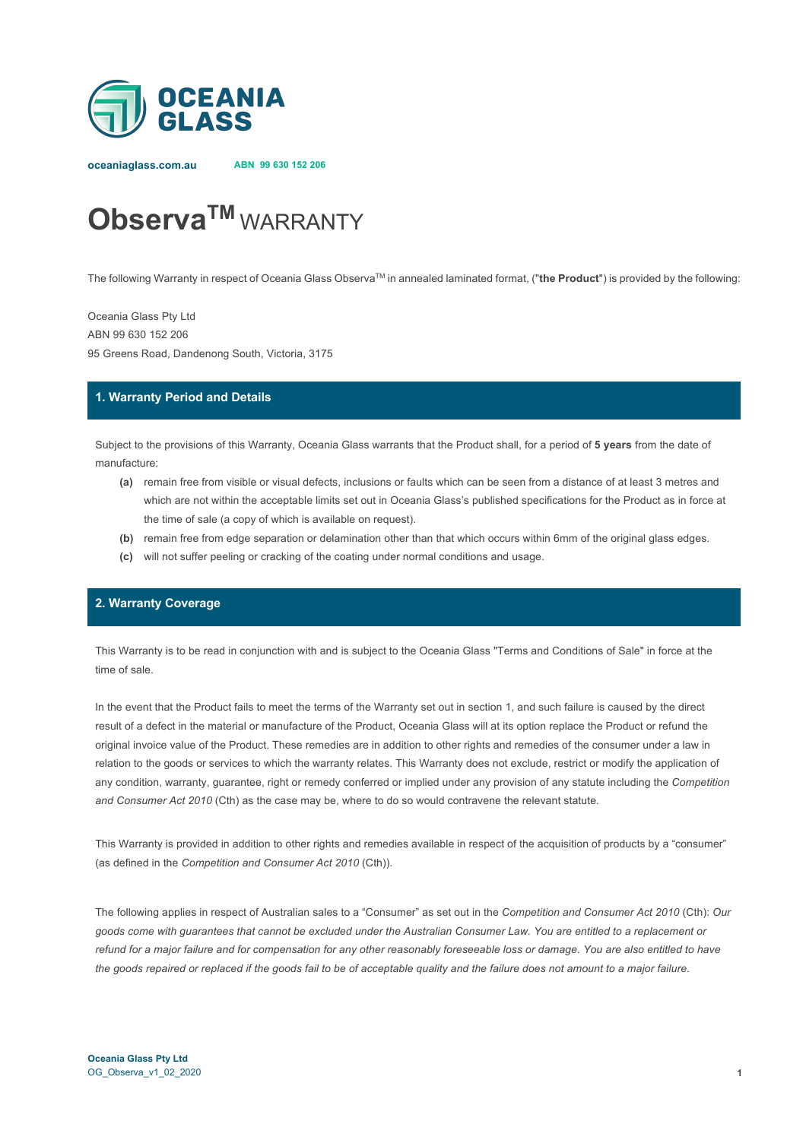

**oceaniaglass.com.au ABN 99 630 152 206**

# **ObservaTM** WARRANTY

The following Warranty in respect of Oceania Glass ObservaTM in annealed laminated format, ("**the Product**") is provided by the following:

Oceania Glass Pty Ltd ABN 99 630 152 206 95 Greens Road, Dandenong South, Victoria, 3175

### **1. Warranty Period and Details**

Subject to the provisions of this Warranty, Oceania Glass warrants that the Product shall, for a period of **5 years** from the date of manufacture:

- **(a)** remain free from visible or visual defects, inclusions or faults which can be seen from a distance of at least 3 metres and which are not within the acceptable limits set out in Oceania Glass's published specifications for the Product as in force at the time of sale (a copy of which is available on request).
- **(b)** remain free from edge separation or delamination other than that which occurs within 6mm of the original glass edges.
- **(c)** will not suffer peeling or cracking of the coating under normal conditions and usage.

## **2. Warranty Coverage**

This Warranty is to be read in conjunction with and is subject to the Oceania Glass "Terms and Conditions of Sale" in force at the time of sale.

In the event that the Product fails to meet the terms of the Warranty set out in section 1, and such failure is caused by the direct result of a defect in the material or manufacture of the Product, Oceania Glass will at its option replace the Product or refund the original invoice value of the Product. These remedies are in addition to other rights and remedies of the consumer under a law in relation to the goods or services to which the warranty relates. This Warranty does not exclude, restrict or modify the application of any condition, warranty, guarantee, right or remedy conferred or implied under any provision of any statute including the *Competition and Consumer Act 2010* (Cth) as the case may be, where to do so would contravene the relevant statute.

This Warranty is provided in addition to other rights and remedies available in respect of the acquisition of products by a "consumer" (as defined in the *Competition and Consumer Act 2010* (Cth)).

The following applies in respect of Australian sales to a "Consumer" as set out in the *Competition and Consumer Act 2010* (Cth): *Our goods come with guarantees that cannot be excluded under the Australian Consumer Law. You are entitled to a replacement or refund for a major failure and for compensation for any other reasonably foreseeable loss or damage. You are also entitled to have the goods repaired or replaced if the goods fail to be of acceptable quality and the failure does not amount to a major failure.*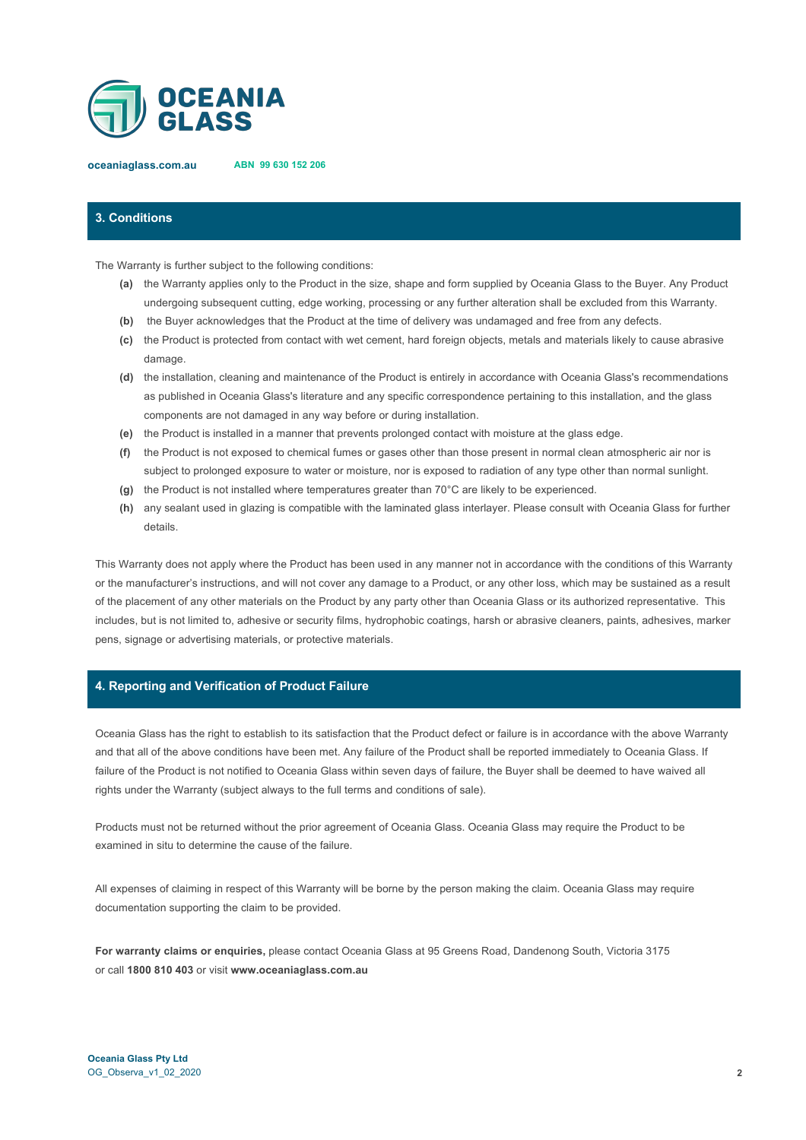

**oceaniaglass.com.au ABN 99 630 152 206**

# **3. Conditions**

The Warranty is further subject to the following conditions:

- **(a)** the Warranty applies only to the Product in the size, shape and form supplied by Oceania Glass to the Buyer. Any Product undergoing subsequent cutting, edge working, processing or any further alteration shall be excluded from this Warranty.
- **(b)** the Buyer acknowledges that the Product at the time of delivery was undamaged and free from any defects.
- **(c)** the Product is protected from contact with wet cement, hard foreign objects, metals and materials likely to cause abrasive damage.
- **(d)** the installation, cleaning and maintenance of the Product is entirely in accordance with Oceania Glass's recommendations as published in Oceania Glass's literature and any specific correspondence pertaining to this installation, and the glass components are not damaged in any way before or during installation.
- **(e)** the Product is installed in a manner that prevents prolonged contact with moisture at the glass edge.
- **(f)** the Product is not exposed to chemical fumes or gases other than those present in normal clean atmospheric air nor is subject to prolonged exposure to water or moisture, nor is exposed to radiation of any type other than normal sunlight.
- **(g)** the Product is not installed where temperatures greater than 70°C are likely to be experienced.
- **(h)** any sealant used in glazing is compatible with the laminated glass interlayer. Please consult with Oceania Glass for further details.

This Warranty does not apply where the Product has been used in any manner not in accordance with the conditions of this Warranty or the manufacturer's instructions, and will not cover any damage to a Product, or any other loss, which may be sustained as a result of the placement of any other materials on the Product by any party other than Oceania Glass or its authorized representative. This includes, but is not limited to, adhesive or security films, hydrophobic coatings, harsh or abrasive cleaners, paints, adhesives, marker pens, signage or advertising materials, or protective materials.

#### **4. Reporting and Verification of Product Failure**

Oceania Glass has the right to establish to its satisfaction that the Product defect or failure is in accordance with the above Warranty and that all of the above conditions have been met. Any failure of the Product shall be reported immediately to Oceania Glass. If failure of the Product is not notified to Oceania Glass within seven days of failure, the Buyer shall be deemed to have waived all rights under the Warranty (subject always to the full terms and conditions of sale).

Products must not be returned without the prior agreement of Oceania Glass. Oceania Glass may require the Product to be examined in situ to determine the cause of the failure.

All expenses of claiming in respect of this Warranty will be borne by the person making the claim. Oceania Glass may require documentation supporting the claim to be provided.

**For warranty claims or enquiries,** please contact Oceania Glass at 95 Greens Road, Dandenong South, Victoria 3175 or call **1800 810 403** or visit **www.oceaniaglass.com.au**